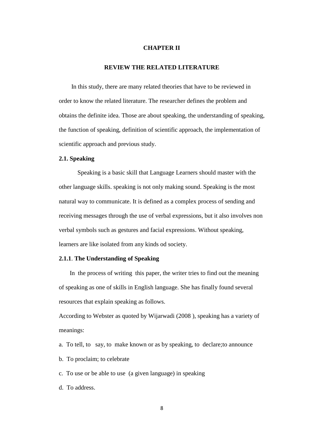#### **CHAPTER II**

# **REVIEW THE RELATED LITERATURE**

 In this study, there are many related theories that have to be reviewed in order to know the related literature. The researcher defines the problem and obtains the definite idea. Those are about speaking, the understanding of speaking, the function of speaking, definition of scientific approach, the implementation of scientific approach and previous study.

#### **2.1. Speaking**

Speaking is a basic skill that Language Learners should master with the other language skills. speaking is not only making sound. Speaking is the most natural way to communicate. It is defined as a complex process of sending and receiving messages through the use of verbal expressions, but it also involves non verbal symbols such as gestures and facial expressions. Without speaking, learners are like isolated from any kinds od society.

## **2.1.1**. **The Understanding of Speaking**

 In the process of writing this paper, the writer tries to find out the meaning of speaking as one of skills in English language. She has finally found several resources that explain speaking as follows.

According to Webster as quoted by Wijarwadi (2008 ), speaking has a variety of meanings:

- a. To tell, to say, to make known or as by speaking, to declare;to announce
- b. To proclaim; to celebrate
- c. To use or be able to use (a given language) in speaking
- d. To address.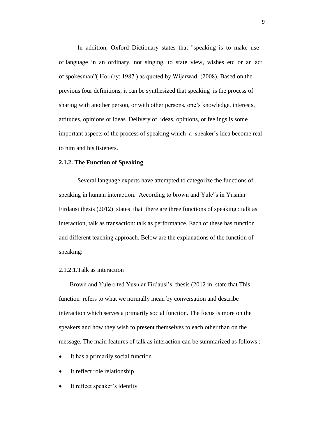In addition, Oxford Dictionary states that "speaking is to make use of language in an ordinary, not singing, to state view, wishes etc or an act of spokesman"( Hornby: 1987 ) as quoted by Wijarwadi (2008). Based on the previous four definitions, it can be synthesized that speaking is the process of sharing with another person, or with other persons, one's knowledge, interests, attitudes, opinions or ideas. Delivery of ideas, opinions, or feelings is some important aspects of the process of speaking which a speaker's idea become real to him and his listeners.

#### **2.1.2. The Function of Speaking**

Several language experts have attempted to categorize the functions of speaking in human interaction. According to brown and Yule"s in Yusniar Firdausi thesis (2012) states that there are three functions of speaking : talk as interaction, talk as transaction: talk as performance. Each of these has function and different teaching approach. Below are the explanations of the function of speaking:

# 2.1.2.1.Talk as interaction

 Brown and Yule cited Yusniar Firdausi's thesis (2012 in state that This function refers to what we normally mean by conversation and describe interaction which serves a primarily social function. The focus is more on the speakers and how they wish to present themselves to each other than on the message. The main features of talk as interaction can be summarized as follows :

- It has a primarily social function
- It reflect role relationship
- It reflect speaker's identity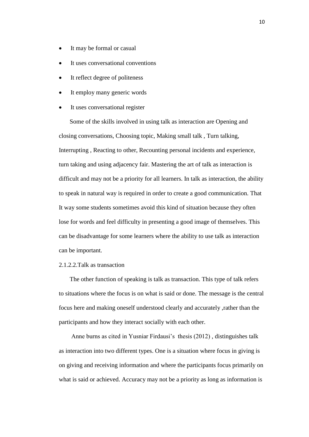- It may be formal or casual
- It uses conversational conventions
- It reflect degree of politeness
- It employ many generic words
- It uses conversational register

 Some of the skills involved in using talk as interaction are Opening and closing conversations, Choosing topic, Making small talk , Turn talking, Interrupting , Reacting to other, Recounting personal incidents and experience, turn taking and using adjacency fair. Mastering the art of talk as interaction is difficult and may not be a priority for all learners. In talk as interaction, the ability to speak in natural way is required in order to create a good communication. That It way some students sometimes avoid this kind of situation because they often lose for words and feel difficulty in presenting a good image of themselves. This can be disadvantage for some learners where the ability to use talk as interaction can be important.

### 2.1.2.2.Talk as transaction

 The other function of speaking is talk as transaction. This type of talk refers to situations where the focus is on what is said or done. The message is the central focus here and making oneself understood clearly and accurately ,rather than the participants and how they interact socially with each other.

 Anne burns as cited in Yusniar Firdausi's thesis (2012) , distinguishes talk as interaction into two different types. One is a situation where focus in giving is on giving and receiving information and where the participants focus primarily on what is said or achieved. Accuracy may not be a priority as long as information is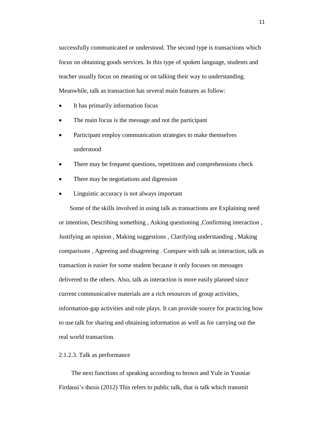successfully communicated or understood. The second type is transactions which focus on obtaining goods services. In this type of spoken language, students and teacher usually focus on meaning or on talking their way to understanding. Meanwhile, talk as transaction has several main features as follow:

- It has primarily information focus
- The main focus is the message and not the participant
- Participant employ communication strategies to make themselves understood
- There may be frequent questions, repetitions and comprehensions check
- There may be negotiations and digression
- Linguistic accuracy is not always important

 Some of the skills involved in using talk as transactions are Explaining need or intention, Describing something , Asking questioning ,Confirming interaction , Justifying an opinion , Making suggestions , Clarifying understanding , Making comparisons , Agreeing and disagreeing . Compare with talk as interaction, talk as transaction is easier for some student because it only focuses on messages delivered to the others. Also, talk as interaction is more easily planned since current communicative materials are a rich resources of group activities, information-gap activities and role plays. It can provide source for practicing how to use talk for sharing and obtaining information as well as for carrying out the real world transaction.

# 2.1.2.3. Talk as performance

 The next functions of speaking according to brown and Yule in Yusniar Firdausi's thesis (2012) This refers to public talk, that is talk which transmit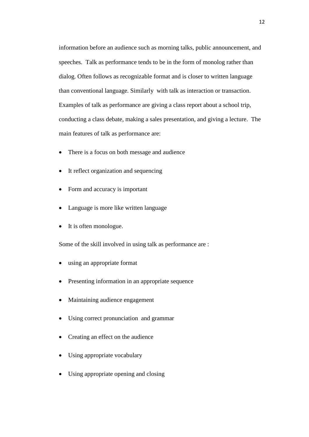information before an audience such as morning talks, public announcement, and speeches. Talk as performance tends to be in the form of monolog rather than dialog. Often follows as recognizable format and is closer to written language than conventional language. Similarly with talk as interaction or transaction. Examples of talk as performance are giving a class report about a school trip, conducting a class debate, making a sales presentation, and giving a lecture. The main features of talk as performance are:

- There is a focus on both message and audience
- It reflect organization and sequencing
- Form and accuracy is important
- Language is more like written language
- It is often monologue.

Some of the skill involved in using talk as performance are :

- using an appropriate format
- Presenting information in an appropriate sequence
- Maintaining audience engagement
- Using correct pronunciation and grammar
- Creating an effect on the audience
- Using appropriate vocabulary
- Using appropriate opening and closing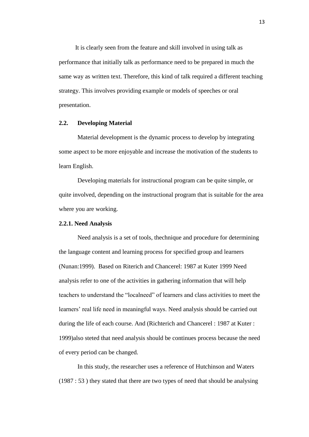It is clearly seen from the feature and skill involved in using talk as performance that initially talk as performance need to be prepared in much the same way as written text. Therefore, this kind of talk required a different teaching strategy. This involves providing example or models of speeches or oral presentation.

# **2.2. Developing Material**

Material development is the dynamic process to develop by integrating some aspect to be more enjoyable and increase the motivation of the students to learn English.

Developing materials for instructional program can be quite simple, or quite involved, depending on the instructional program that is suitable for the area where you are working.

#### **2.2.1. Need Analysis**

Need analysis is a set of tools, thechnique and procedure for determining the language content and learning process for specified group and learners (Nunan:1999). Based on Riterich and Chancerel: 1987 at Kuter 1999 Need analysis refer to one of the activities in gathering information that will help teachers to understand the "localneed" of learners and class activities to meet the learners' real life need in meaningful ways. Need analysis should be carried out during the life of each course. And (Richterich and Chancerel : 1987 at Kuter : 1999)also steted that need analysis should be continues process because the need of every period can be changed.

In this study, the researcher uses a reference of Hutchinson and Waters (1987 : 53 ) they stated that there are two types of need that should be analysing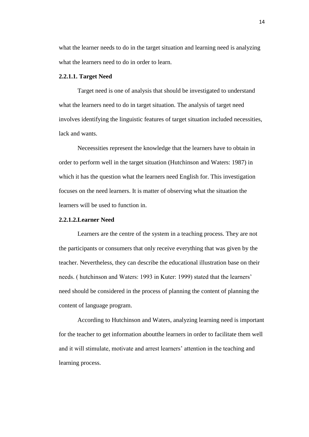what the learner needs to do in the target situation and learning need is analyzing what the learners need to do in order to learn.

# **2.2.1.1. Target Need**

Target need is one of analysis that should be investigated to understand what the learners need to do in target situation. The analysis of target need involves identifying the linguistic features of target situation included necessities, lack and wants.

Neceessities represent the knowledge that the learners have to obtain in order to perform well in the target situation (Hutchinson and Waters: 1987) in which it has the question what the learners need English for. This investigation focuses on the need learners. It is matter of observing what the situation the learners will be used to function in.

# **2.2.1.2.Learner Need**

Learners are the centre of the system in a teaching process. They are not the participants or consumers that only receive everything that was given by the teacher. Nevertheless, they can describe the educational illustration base on their needs. ( hutchinson and Waters: 1993 in Kuter: 1999) stated that the learners' need should be considered in the process of planning the content of planning the content of language program.

According to Hutchinson and Waters, analyzing learning need is important for the teacher to get information aboutthe learners in order to facilitate them well and it will stimulate, motivate and arrest learners' attention in the teaching and learning process.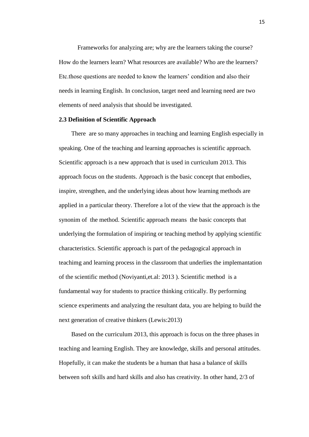Frameworks for analyzing are; why are the learners taking the course? How do the learners learn? What resources are available? Who are the learners? Etc.those questions are needed to know the learners' condition and also their needs in learning English. In conclusion, target need and learning need are two elements of need analysis that should be investigated.

# **2.3 Definition of Scientific Approach**

 There are so many approaches in teaching and learning English especially in speaking. One of the teaching and learning approaches is scientific approach. Scientific approach is a new approach that is used in curriculum 2013. This approach focus on the students. Approach is the basic concept that embodies, inspire, strengthen, and the underlying ideas about how learning methods are applied in a particular theory. Therefore a lot of the view that the approach is the synonim of the method. Scientific approach means the basic concepts that underlying the formulation of inspiring or teaching method by applying scientific characteristics. Scientific approach is part of the pedagogical approach in teachimg and learning process in the classroom that underlies the implemantation of the scientific method (Noviyanti,et.al: 2013 ). Scientific method is a fundamental way for students to practice thinking critically. By performing science experiments and analyzing the resultant data, you are helping to build the next generation of creative thinkers (Lewis:2013)

 Based on the curriculum 2013, this approach is focus on the three phases in teaching and learning English. They are knowledge, skills and personal attitudes. Hopefully, it can make the students be a human that hasa a balance of skills between soft skills and hard skills and also has creativity. In other hand, 2/3 of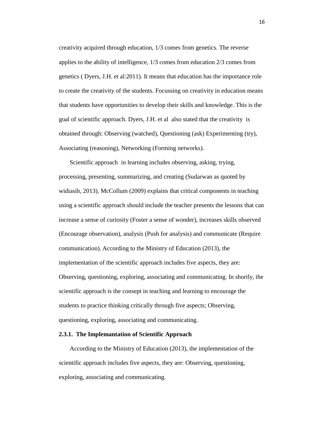creativity acquired through education, 1/3 comes from genetics. The reverse applies to the ability of intelligence, 1/3 comes from education 2/3 comes from genetics ( Dyers, J.H. et al:2011). It means that education has the importance role to create the creativity of the students. Focussing on creativity in education means that students have opportunities to develop their skills and knowledge. This is the goal of scientific approach. Dyers, J.H. et al also stated that the creativity is obtained through: Observing (watched), Questioning (ask) Experimenting (try), Associating (reasoning), Networking (Forming networks).

 Scientific approach in learning includes observing, asking, trying, processing, presenting, summarizing, and creating (Sudarwan as quoted by widiasih, 2013). McCollum (2009) explains that critical components in teaching using a scientific approach should include the teacher presents the lessons that can increase a sense of curiosity (Foster a sense of wonder), increases skills observed (Encourage observation), analysis (Push for analysis) and communicate (Require communication). According to the Ministry of Education (2013), the implementation of the scientific approach includes five aspects, they are: Observing, questioning, exploring, associating and communicating. In shortly, the scientific approach is the consept in teaching and learning to encourage the students to practice thinking critically through five aspects; Observing, questioning, exploring, associating and communicating.

# **2.3.1. The Implemantation of Scientific Approach**

 According to the Ministry of Education (2013), the implementation of the scientific approach includes five aspects, they are: Observing, questioning, exploring, associating and communicating.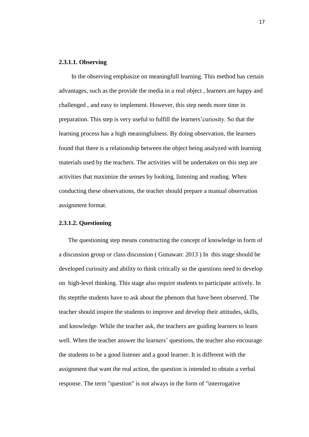# **2.3.1.1. Observing**

In the observing emphasize on meaningfull learning. This method has certain advantages, such as the provide the media in a real object , learners are happy and challenged , and easy to implement. However, this step needs more time in preparation. This step is very useful to fulfill the learners'curiosity. So that the learning process has a high meaningfulness. By doing observation, the learners found that there is a relationship between the object being analyzed with learning materials used by the teachers. The activities will be undertaken on this step are activities that maximize the senses by looking, listening and reading. When conducting these observations, the teacher should prepare a manual observation assignment format.

### **2.3.1.2. Questioning**

The questioning step means constructing the concept of knowledge in form of a discussion group or class discussion ( Gunawan: 2013 ) In this stage should be developed curiosity and ability to think critically so the questions need to develop on high-level thinking. This stage also require students to participate actively. In ths steptthe students have to ask about the phenom that have been observed. The teacher should inspire the students to improve and develop their attitudes, skills, and knowledge. While the teacher ask, the teachers are guiding learners to learn well. When the teacher answer the learners' questions, the teacher also encourage the students to be a good listener and a good learner. It is different with the assignment that want the real action, the question is intended to obtain a verbal response. The term "question" is not always in the form of "interrogative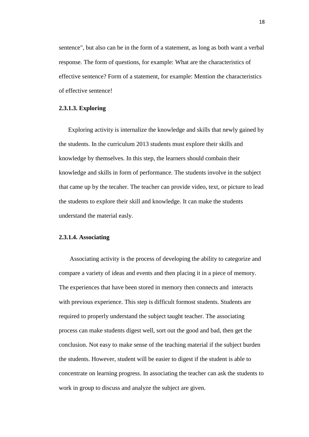sentence", but also can be in the form of a statement, as long as both want a verbal response. The form of questions, for example: What are the characteristics of effective sentence? Form of a statement, for example: Mention the characteristics of effective sentence!

# **2.3.1.3. Exploring**

Exploring activity is internalize the knowledge and skills that newly gained by the students. In the curriculum 2013 students must explore their skills and knowledge by themselves. In this step, the learners should combain their knowledge and skills in form of performance. The students involve in the subject that came up by the tecaher. The teacher can provide video, text, or picture to lead the students to explore their skill and knowledge. It can make the students understand the material easly.

# **2.3.1.4. Associating**

 Associating activity is the process of developing the ability to categorize and compare a variety of ideas and events and then placing it in a piece of memory. The experiences that have been stored in memory then connects and interacts with previous experience. This step is difficult formost students. Students are required to properly understand the subject taught teacher. The associating process can make students digest well, sort out the good and bad, then get the conclusion. Not easy to make sense of the teaching material if the subject burden the students. However, student will be easier to digest if the student is able to concentrate on learning progress. In associating the teacher can ask the students to work in group to discuss and analyze the subject are given.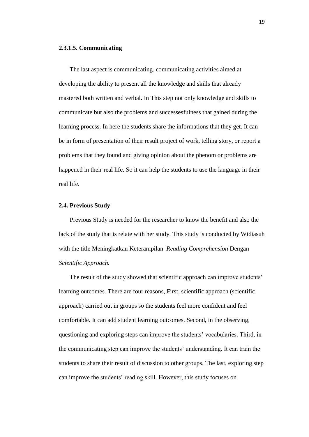## **2.3.1.5. Communicating**

 The last aspect is communicating. communicating activities aimed at developing the ability to present all the knowledge and skills that already mastered both written and verbal. In This step not only knowledge and skills to communicate but also the problems and successesfulness that gained during the learning process. In here the students share the informations that they get. It can be in form of presentation of their result project of work, telling story, or report a problems that they found and giving opinion about the phenom or problems are happened in their real life. So it can help the students to use the language in their real life.

## **2.4. Previous Study**

 Previous Study is needed for the researcher to know the benefit and also the lack of the study that is relate with her study. This study is conducted by Widiasuh with the title Meningkatkan Keterampilan *Reading Comprehension* Dengan *Scientific Approach.* 

 The result of the study showed that scientific approach can improve students' learning outcomes. There are four reasons, First, scientific approach (scientific approach) carried out in groups so the students feel more confident and feel comfortable. It can add student learning outcomes. Second, in the observing, questioning and exploring steps can improve the students' vocabularies. Third, in the communicating step can improve the students' understanding. It can train the students to share their result of discussion to other groups. The last, exploring step can improve the students' reading skill. However, this study focuses on